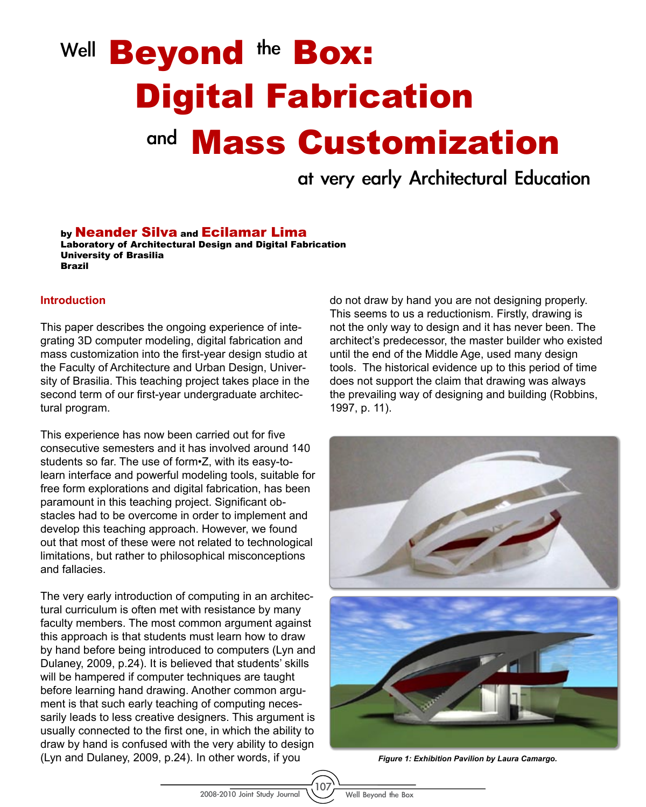# Well **Beyond** the **Box:** <sup>and</sup> Mass Customization Digital Fabrication

at very early Architectural Education

by Neander Silva and Ecilamar Lima

Laboratory of Architectural Design and Digital Fabrication University of Brasilia Brazil

#### **Introduction**

This paper describes the ongoing experience of integrating 3D computer modeling, digital fabrication and mass customization into the first-year design studio at the Faculty of Architecture and Urban Design, University of Brasilia. This teaching project takes place in the second term of our first-year undergraduate architectural program.

This experience has now been carried out for five consecutive semesters and it has involved around 140 students so far. The use of form•Z, with its easy-tolearn interface and powerful modeling tools, suitable for free form explorations and digital fabrication, has been paramount in this teaching project. Significant obstacles had to be overcome in order to implement and develop this teaching approach. However, we found out that most of these were not related to technological limitations, but rather to philosophical misconceptions and fallacies.

The very early introduction of computing in an architectural curriculum is often met with resistance by many faculty members. The most common argument against this approach is that students must learn how to draw by hand before being introduced to computers (Lyn and Dulaney, 2009, p.24). It is believed that students' skills will be hampered if computer techniques are taught before learning hand drawing. Another common argument is that such early teaching of computing necessarily leads to less creative designers. This argument is usually connected to the first one, in which the ability to draw by hand is confused with the very ability to design (Lyn and Dulaney, 2009, p.24). In other words, if you

do not draw by hand you are not designing properly. This seems to us a reductionism. Firstly, drawing is not the only way to design and it has never been. The architect's predecessor, the master builder who existed until the end of the Middle Age, used many design tools. The historical evidence up to this period of time does not support the claim that drawing was always the prevailing way of designing and building (Robbins, 1997, p. 11).



*Figure 1: Exhibition Pavilion by Laura Camargo.*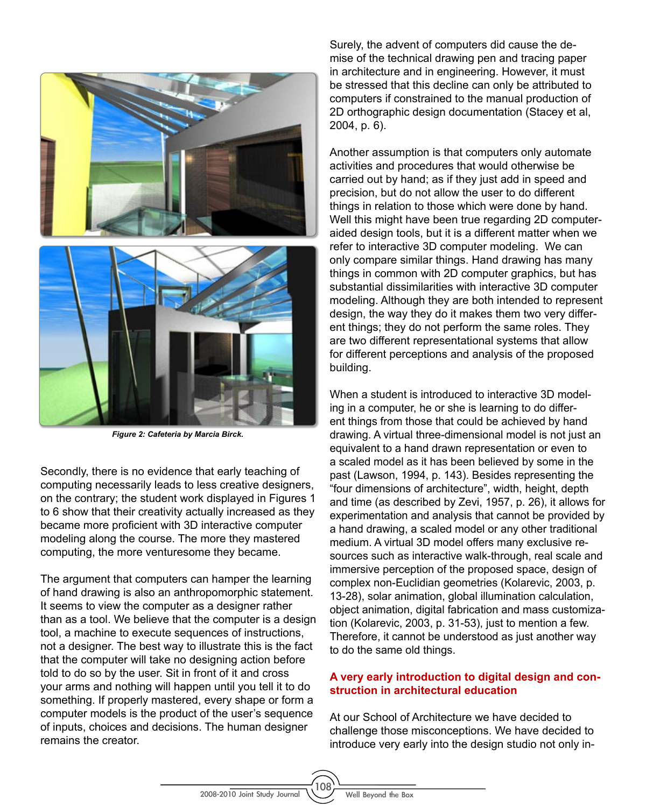

*Figure 2: Cafeteria by Marcia Birck.*

Secondly, there is no evidence that early teaching of computing necessarily leads to less creative designers, on the contrary; the student work displayed in Figures 1 to 6 show that their creativity actually increased as they became more proficient with 3D interactive computer modeling along the course. The more they mastered computing, the more venturesome they became.

The argument that computers can hamper the learning of hand drawing is also an anthropomorphic statement. It seems to view the computer as a designer rather than as a tool. We believe that the computer is a design tool, a machine to execute sequences of instructions, not a designer. The best way to illustrate this is the fact that the computer will take no designing action before told to do so by the user. Sit in front of it and cross your arms and nothing will happen until you tell it to do something. If properly mastered, every shape or form a computer models is the product of the user's sequence of inputs, choices and decisions. The human designer remains the creator.

Surely, the advent of computers did cause the demise of the technical drawing pen and tracing paper in architecture and in engineering. However, it must be stressed that this decline can only be attributed to computers if constrained to the manual production of 2D orthographic design documentation (Stacey et al, 2004, p. 6).

Another assumption is that computers only automate activities and procedures that would otherwise be carried out by hand; as if they just add in speed and precision, but do not allow the user to do different things in relation to those which were done by hand. Well this might have been true regarding 2D computeraided design tools, but it is a different matter when we refer to interactive 3D computer modeling. We can only compare similar things. Hand drawing has many things in common with 2D computer graphics, but has substantial dissimilarities with interactive 3D computer modeling. Although they are both intended to represent design, the way they do it makes them two very different things; they do not perform the same roles. They are two different representational systems that allow for different perceptions and analysis of the proposed building.

When a student is introduced to interactive 3D modeling in a computer, he or she is learning to do different things from those that could be achieved by hand drawing. A virtual three-dimensional model is not just an equivalent to a hand drawn representation or even to a scaled model as it has been believed by some in the past (Lawson, 1994, p. 143). Besides representing the "four dimensions of architecture", width, height, depth and time (as described by Zevi, 1957, p. 26), it allows for experimentation and analysis that cannot be provided by a hand drawing, a scaled model or any other traditional medium. A virtual 3D model offers many exclusive resources such as interactive walk-through, real scale and immersive perception of the proposed space, design of complex non-Euclidian geometries (Kolarevic, 2003, p. 13-28), solar animation, global illumination calculation, object animation, digital fabrication and mass customization (Kolarevic, 2003, p. 31-53), just to mention a few. Therefore, it cannot be understood as just another way to do the same old things.

## **A very early introduction to digital design and construction in architectural education**

At our School of Architecture we have decided to challenge those misconceptions. We have decided to introduce very early into the design studio not only in-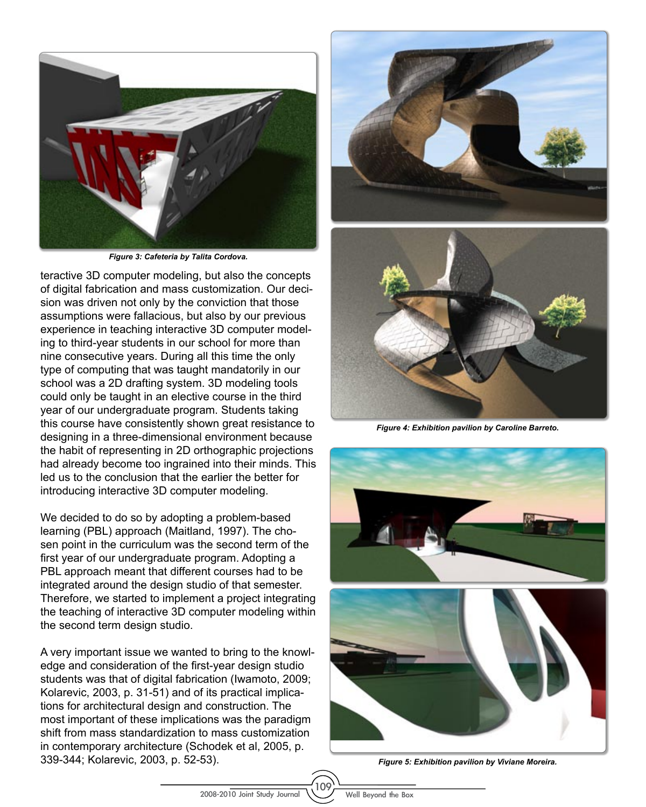

*Figure 3: Cafeteria by Talita Cordova.* 

teractive 3D computer modeling, but also the concepts of digital fabrication and mass customization. Our decision was driven not only by the conviction that those assumptions were fallacious, but also by our previous experience in teaching interactive 3D computer modeling to third-year students in our school for more than nine consecutive years. During all this time the only type of computing that was taught mandatorily in our school was a 2D drafting system. 3D modeling tools could only be taught in an elective course in the third year of our undergraduate program. Students taking this course have consistently shown great resistance to designing in a three-dimensional environment because the habit of representing in 2D orthographic projections had already become too ingrained into their minds. This led us to the conclusion that the earlier the better for introducing interactive 3D computer modeling.

We decided to do so by adopting a problem-based learning (PBL) approach (Maitland, 1997). The chosen point in the curriculum was the second term of the first year of our undergraduate program. Adopting a PBL approach meant that different courses had to be integrated around the design studio of that semester. Therefore, we started to implement a project integrating the teaching of interactive 3D computer modeling within the second term design studio.

A very important issue we wanted to bring to the knowledge and consideration of the first-year design studio students was that of digital fabrication (Iwamoto, 2009; Kolarevic, 2003, p. 31-51) and of its practical implications for architectural design and construction. The most important of these implications was the paradigm shift from mass standardization to mass customization in contemporary architecture (Schodek et al, 2005, p. 339-344; Kolarevic, 2003, p. 52-53). *Figure 5: Exhibition pavilion by Viviane Moreira.*





*Figure 4: Exhibition pavilion by Caroline Barreto.*

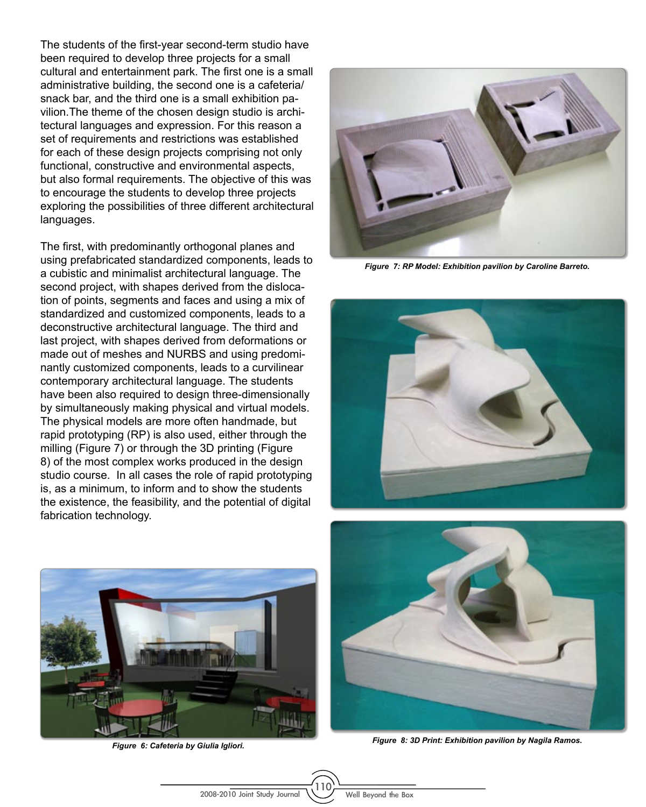The students of the first-year second-term studio have been required to develop three projects for a small cultural and entertainment park. The first one is a small administrative building, the second one is a cafeteria/ snack bar, and the third one is a small exhibition pavilion.The theme of the chosen design studio is architectural languages and expression. For this reason a set of requirements and restrictions was established for each of these design projects comprising not only functional, constructive and environmental aspects, but also formal requirements. The objective of this was to encourage the students to develop three projects exploring the possibilities of three different architectural languages.

The first, with predominantly orthogonal planes and using prefabricated standardized components, leads to a cubistic and minimalist architectural language. The second project, with shapes derived from the dislocation of points, segments and faces and using a mix of standardized and customized components, leads to a deconstructive architectural language. The third and last project, with shapes derived from deformations or made out of meshes and NURBS and using predominantly customized components, leads to a curvilinear contemporary architectural language. The students have been also required to design three-dimensionally by simultaneously making physical and virtual models. The physical models are more often handmade, but rapid prototyping (RP) is also used, either through the milling (Figure 7) or through the 3D printing (Figure 8) of the most complex works produced in the design studio course. In all cases the role of rapid prototyping is, as a minimum, to inform and to show the students the existence, the feasibility, and the potential of digital fabrication technology.



*Figure 7: RP Model: Exhibition pavilion by Caroline Barreto.*





*Figure 6: Cafeteria by Giulia Igliori.*



*Figure 8: 3D Print: Exhibition pavilion by Nagila Ramos.*